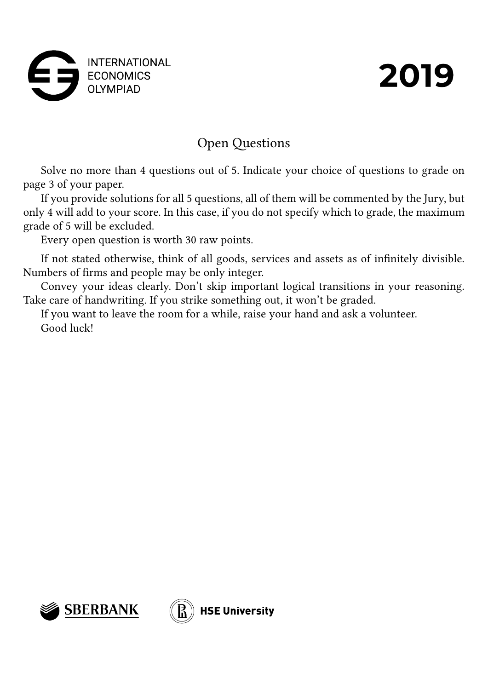



# Open Questions

Solve no more than 4 questions out of 5. Indicate your choice of questions to grade on page 3 of your paper.

If you provide solutions for all 5 questions, all of them will be commented by the Jury, but only 4 will add to your score. In this case, if you do not specify which to grade, the maximum grade of 5 will be excluded.

Every open question is worth 30 raw points.

If not stated otherwise, think of all goods, services and assets as of infinitely divisible. Numbers of firms and people may be only integer.

Convey your ideas clearly. Don't skip important logical transitions in your reasoning. Take care of handwriting. If you strike something out, it won't be graded.

If you want to leave the room for a while, raise your hand and ask a volunteer. Good luck!

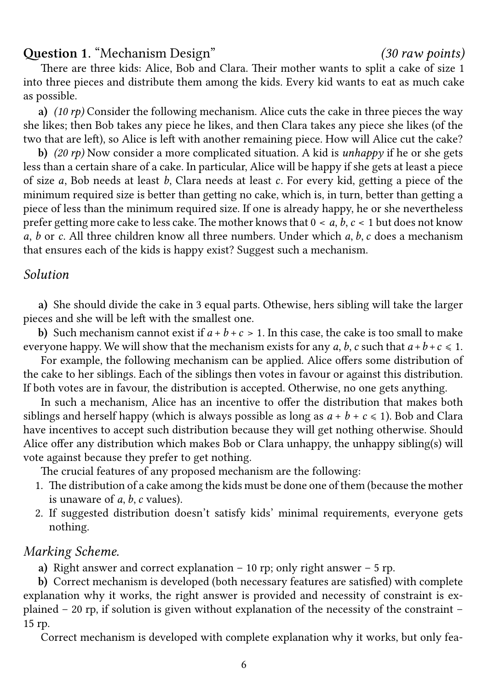#### 6

## **Question 1.** "Mechanism Design" *(30 raw points)*

There are three kids: Alice, Bob and Clara. Their mother wants to split a cake of size 1 into three pieces and distribute them among the kids. Every kid wants to eat as much cake as possible.

**a)** *(10 rp)* Consider the following mechanism. Alice cuts the cake in three pieces the way she likes; then Bob takes any piece he likes, and then Clara takes any piece she likes (of the two that are left), so Alice is left with another remaining piece. How will Alice cut the cake?

**b)** *(20 rp)* Now consider a more complicated situation. A kid is *unhappy* if he or she gets less than a certain share of a cake. In particular, Alice will be happy if she gets at least a piece of size  $a$ , Bob needs at least  $b$ , Clara needs at least  $c$ . For every kid, getting a piece of the minimum required size is better than getting no cake, which is, in turn, better than getting a piece of less than the minimum required size. If one is already happy, he or she nevertheless prefer getting more cake to less cake. The mother knows that  $0 < a, b, c < 1$  but does not know a, b or c. All three children know all three numbers. Under which  $a, b, c$  does a mechanism that ensures each of the kids is happy exist? Suggest such a mechanism.

### *Solution*

**a)** She should divide the cake in 3 equal parts. Othewise, hers sibling will take the larger pieces and she will be left with the smallest one.

**b)** Such mechanism cannot exist if  $a + b + c > 1$ . In this case, the cake is too small to make everyone happy. We will show that the mechanism exists for any a, b, c such that  $a + b + c \le 1$ .

For example, the following mechanism can be applied. Alice offers some distribution of the cake to her siblings. Each of the siblings then votes in favour or against this distribution. If both votes are in favour, the distribution is accepted. Otherwise, no one gets anything.

In such a mechanism, Alice has an incentive to offer the distribution that makes both siblings and herself happy (which is always possible as long as  $a + b + c \le 1$ ). Bob and Clara have incentives to accept such distribution because they will get nothing otherwise. Should Alice offer any distribution which makes Bob or Clara unhappy, the unhappy sibling(s) will vote against because they prefer to get nothing.

The crucial features of any proposed mechanism are the following:

- 1. The distribution of a cake among the kids must be done one of them (because the mother is unaware of  $a, b, c$  values).
- 2. If suggested distribution doesn't satisfy kids' minimal requirements, everyone gets nothing.

### *Marking Scheme.*

**a)** Right answer and correct explanation – 10 rp; only right answer – 5 rp.

**b)** Correct mechanism is developed (both necessary features are satisfied) with complete explanation why it works, the right answer is provided and necessity of constraint is explained – 20 rp, if solution is given without explanation of the necessity of the constraint – 15 rp.

Correct mechanism is developed with complete explanation why it works, but only fea-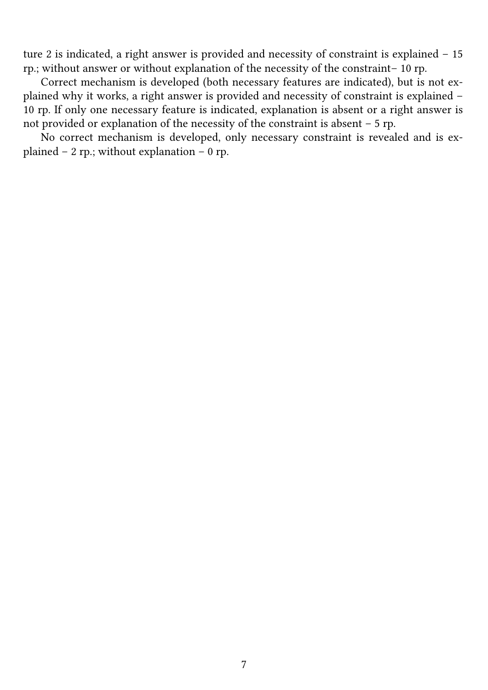ture 2 is indicated, a right answer is provided and necessity of constraint is explained – 15 rp.; without answer or without explanation of the necessity of the constraint– 10 rp.

Correct mechanism is developed (both necessary features are indicated), but is not explained why it works, a right answer is provided and necessity of constraint is explained – 10 rp. If only one necessary feature is indicated, explanation is absent or a right answer is not provided or explanation of the necessity of the constraint is absent – 5 rp.

No correct mechanism is developed, only necessary constraint is revealed and is explained – 2 rp.; without explanation – 0 rp.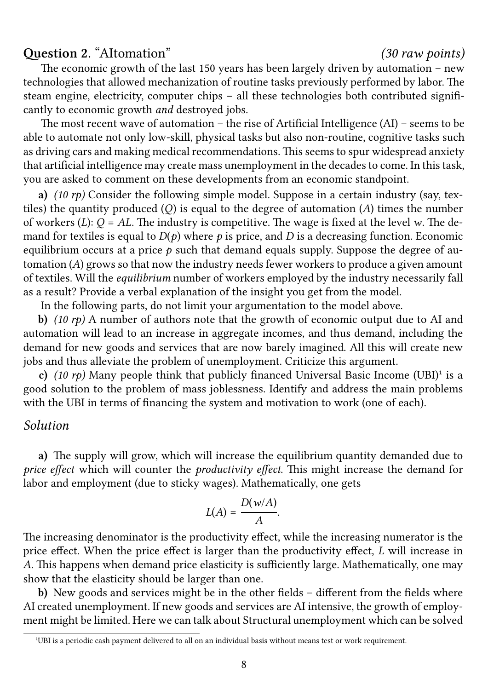## **Question 2.** "AItomation" *(30 raw points)*

The economic growth of the last 150 years has been largely driven by automation – new technologies that allowed mechanization of routine tasks previously performed by labor. The steam engine, electricity, computer chips – all these technologies both contributed significantly to economic growth *and* destroyed jobs.

The most recent wave of automation – the rise of Artificial Intelligence (AI) – seems to be able to automate not only low-skill, physical tasks but also non-routine, cognitive tasks such as driving cars and making medical recommendations. This seems to spur widespread anxiety that artificial intelligence may create mass unemployment in the decades to come. In this task, you are asked to comment on these developments from an economic standpoint.

**a)** *(10 rp)* Consider the following simple model. Suppose in a certain industry (say, textiles) the quantity produced  $(Q)$  is equal to the degree of automation  $(A)$  times the number of workers (L):  $Q = AL$ . The industry is competitive. The wage is fixed at the level w. The demand for textiles is equal to  $D(p)$  where p is price, and D is a decreasing function. Economic equilibrium occurs at a price  $p$  such that demand equals supply. Suppose the degree of automation  $(A)$  grows so that now the industry needs fewer workers to produce a given amount of textiles. Will the *equilibrium* number of workers employed by the industry necessarily fall as a result? Provide a verbal explanation of the insight you get from the model.

In the following parts, do not limit your argumentation to the model above.

**b)** *(10 rp)* A number of authors note that the growth of economic output due to AI and automation will lead to an increase in aggregate incomes, and thus demand, including the demand for new goods and services that are now barely imagined. All this will create new jobs and thus alleviate the problem of unemployment. Criticize this argument.

**c)**  $(10 \text{ rp})$  Many people think that publicly financed Universal Basic Income  $(UBI)^{1}$  is a good solution to the problem of mass joblessness. Identify and address the main problems with the UBI in terms of financing the system and motivation to work (one of each).

### *Solution*

**a)** The supply will grow, which will increase the equilibrium quantity demanded due to *price effect* which will counter the *productivity effect*. This might increase the demand for labor and employment (due to sticky wages). Mathematically, one gets

$$
L(A) = \frac{D(w/A)}{A}.
$$

The increasing denominator is the productivity effect, while the increasing numerator is the price effect. When the price effect is larger than the productivity effect,  $L$  will increase in . This happens when demand price elasticity is sufficiently large. Mathematically, one may show that the elasticity should be larger than one.

**b)** New goods and services might be in the other fields – different from the fields where AI created unemployment. If new goods and services are AI intensive, the growth of employment might be limited. Here we can talk about Structural unemployment which can be solved

<sup>&</sup>lt;sup>1</sup>UBI is a periodic cash payment delivered to all on an individual basis without means test or work requirement.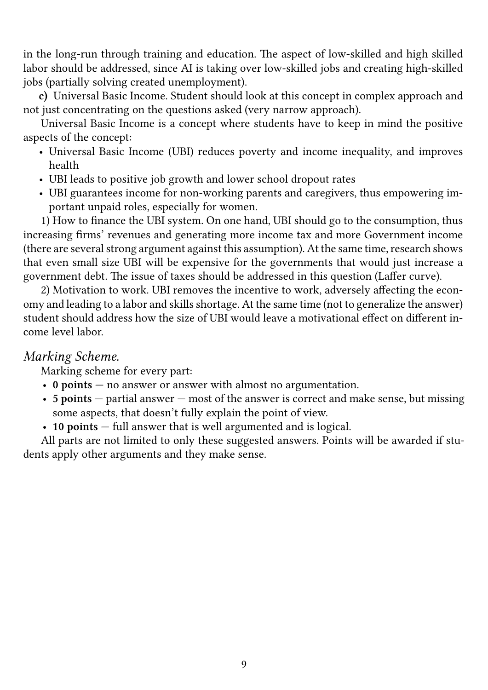in the long-run through training and education. The aspect of low-skilled and high skilled labor should be addressed, since AI is taking over low-skilled jobs and creating high-skilled jobs (partially solving created unemployment).

**c)** Universal Basic Income. Student should look at this concept in complex approach and not just concentrating on the questions asked (very narrow approach).

Universal Basic Income is a concept where students have to keep in mind the positive aspects of the concept:

- Universal Basic Income (UBI) reduces poverty and income inequality, and improves health
- UBI leads to positive job growth and lower school dropout rates
- UBI guarantees income for non-working parents and caregivers, thus empowering important unpaid roles, especially for women.

1) How to finance the UBI system. On one hand, UBI should go to the consumption, thus increasing firms' revenues and generating more income tax and more Government income (there are several strong argument against this assumption). At the same time, research shows that even small size UBI will be expensive for the governments that would just increase a government debt. The issue of taxes should be addressed in this question (Laffer curve).

2) Motivation to work. UBI removes the incentive to work, adversely affecting the economy and leading to a labor and skills shortage. At the same time (not to generalize the answer) student should address how the size of UBI would leave a motivational effect on different income level labor.

## *Marking Scheme.*

Marking scheme for every part:

- **0 points** no answer or answer with almost no argumentation.
- **5 points** partial answer most of the answer is correct and make sense, but missing some aspects, that doesn't fully explain the point of view.
- **10 points** full answer that is well argumented and is logical.

All parts are not limited to only these suggested answers. Points will be awarded if students apply other arguments and they make sense.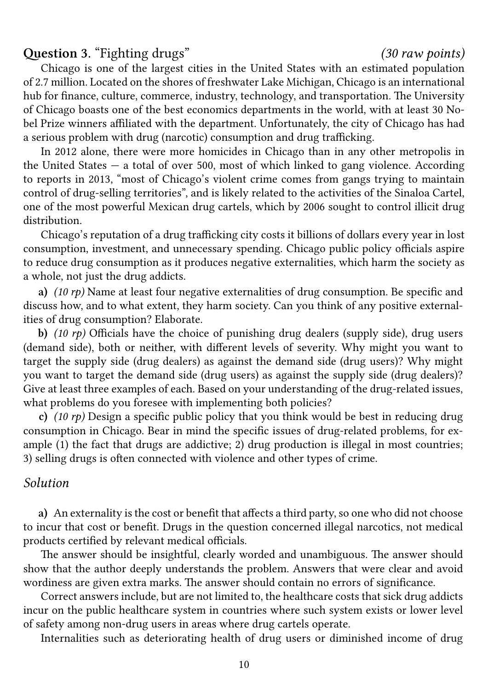## **Question 3.** "Fighting drugs" *(30 raw points)*

Chicago is one of the largest cities in the United States with an estimated population of 2.7 million. Located on the shores of freshwater Lake Michigan, Chicago is an international hub for finance, culture, commerce, industry, technology, and transportation. The University of Chicago boasts one of the best economics departments in the world, with at least 30 Nobel Prize winners affiliated with the department. Unfortunately, the city of Chicago has had a serious problem with drug (narcotic) consumption and drug trafficking.

In 2012 alone, there were more homicides in Chicago than in any other metropolis in the United States  $-$  a total of over 500, most of which linked to gang violence. According to reports in 2013, "most of Chicago's violent crime comes from gangs trying to maintain control of drug-selling territories", and is likely related to the activities of the Sinaloa Cartel, one of the most powerful Mexican drug cartels, which by 2006 sought to control illicit drug distribution.

Chicago's reputation of a drug trafficking city costs it billions of dollars every year in lost consumption, investment, and unnecessary spending. Chicago public policy officials aspire to reduce drug consumption as it produces negative externalities, which harm the society as a whole, not just the drug addicts.

**a)** *(10 rp)* Name at least four negative externalities of drug consumption. Be specific and discuss how, and to what extent, they harm society. Can you think of any positive externalities of drug consumption? Elaborate.

**b)** *(10 rp)* Officials have the choice of punishing drug dealers (supply side), drug users (demand side), both or neither, with different levels of severity. Why might you want to target the supply side (drug dealers) as against the demand side (drug users)? Why might you want to target the demand side (drug users) as against the supply side (drug dealers)? Give at least three examples of each. Based on your understanding of the drug-related issues, what problems do you foresee with implementing both policies?

**c)** *(10 rp)* Design a specific public policy that you think would be best in reducing drug consumption in Chicago. Bear in mind the specific issues of drug-related problems, for example (1) the fact that drugs are addictive; 2) drug production is illegal in most countries; 3) selling drugs is often connected with violence and other types of crime.

#### *Solution*

**a)** An externality is the cost or benefit that affects a third party, so one who did not choose to incur that cost or benefit. Drugs in the question concerned illegal narcotics, not medical products certified by relevant medical officials.

The answer should be insightful, clearly worded and unambiguous. The answer should show that the author deeply understands the problem. Answers that were clear and avoid wordiness are given extra marks. The answer should contain no errors of significance.

Correct answers include, but are not limited to, the healthcare costs that sick drug addicts incur on the public healthcare system in countries where such system exists or lower level of safety among non-drug users in areas where drug cartels operate.

Internalities such as deteriorating health of drug users or diminished income of drug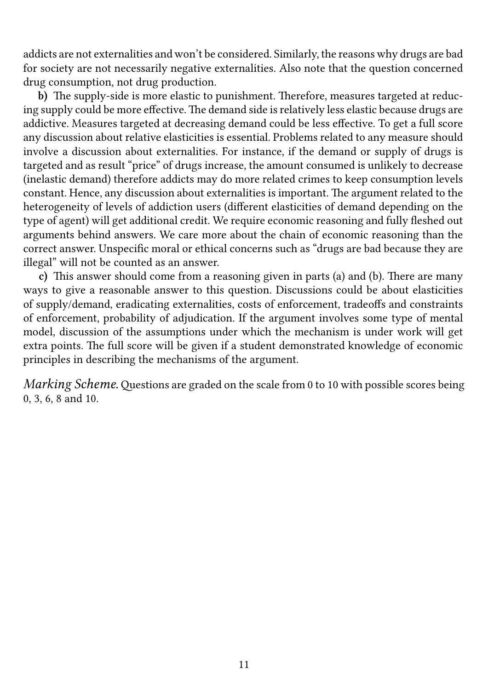addicts are not externalities and won't be considered. Similarly, the reasons why drugs are bad for society are not necessarily negative externalities. Also note that the question concerned drug consumption, not drug production.

**b)** The supply-side is more elastic to punishment. Therefore, measures targeted at reducing supply could be more effective. The demand side is relatively less elastic because drugs are addictive. Measures targeted at decreasing demand could be less effective. To get a full score any discussion about relative elasticities is essential. Problems related to any measure should involve a discussion about externalities. For instance, if the demand or supply of drugs is targeted and as result "price" of drugs increase, the amount consumed is unlikely to decrease (inelastic demand) therefore addicts may do more related crimes to keep consumption levels constant. Hence, any discussion about externalities is important. The argument related to the heterogeneity of levels of addiction users (different elasticities of demand depending on the type of agent) will get additional credit. We require economic reasoning and fully fleshed out arguments behind answers. We care more about the chain of economic reasoning than the correct answer. Unspecific moral or ethical concerns such as "drugs are bad because they are illegal" will not be counted as an answer.

**c)** This answer should come from a reasoning given in parts (a) and (b). There are many ways to give a reasonable answer to this question. Discussions could be about elasticities of supply/demand, eradicating externalities, costs of enforcement, tradeoffs and constraints of enforcement, probability of adjudication. If the argument involves some type of mental model, discussion of the assumptions under which the mechanism is under work will get extra points. The full score will be given if a student demonstrated knowledge of economic principles in describing the mechanisms of the argument.

*Marking Scheme.*Questions are graded on the scale from 0 to 10 with possible scores being 0, 3, 6, 8 and 10.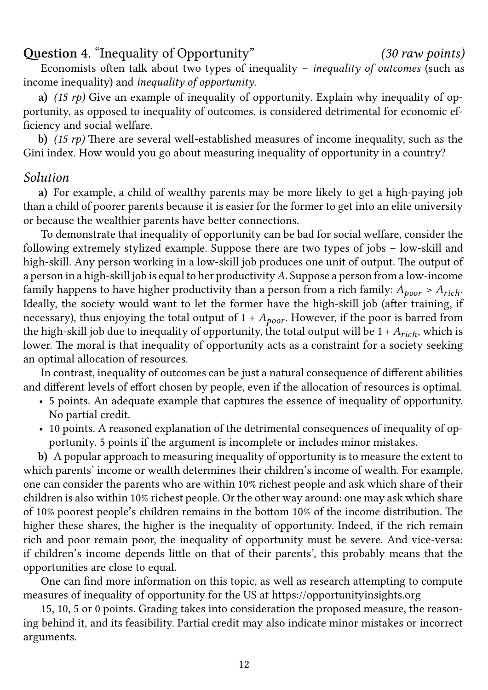## **Question 4.** "Inequality of Opportunity" *(30 raw points)*

Economists often talk about two types of inequality – *inequality of outcomes* (such as income inequality) and *inequality of opportunity*.

**a)** *(15 rp)* Give an example of inequality of opportunity. Explain why inequality of opportunity, as opposed to inequality of outcomes, is considered detrimental for economic efficiency and social welfare.

**b)** *(15 rp)* There are several well-established measures of income inequality, such as the Gini index. How would you go about measuring inequality of opportunity in a country?

## *Solution*

**a)** For example, a child of wealthy parents may be more likely to get a high-paying job than a child of poorer parents because it is easier for the former to get into an elite university or because the wealthier parents have better connections.

To demonstrate that inequality of opportunity can be bad for social welfare, consider the following extremely stylized example. Suppose there are two types of jobs – low-skill and high-skill. Any person working in a low-skill job produces one unit of output. The output of a person in a high-skill job is equal to her productivity  $A$ . Suppose a person from a low-income family happens to have higher productivity than a person from a rich family:  $A_{poor} > A_{rich}$ . Ideally, the society would want to let the former have the high-skill job (after training, if necessary), thus enjoying the total output of  $1 + A_{poor}$ . However, if the poor is barred from the high-skill job due to inequality of opportunity, the total output will be  $1 + A_{rich}$ , which is lower. The moral is that inequality of opportunity acts as a constraint for a society seeking an optimal allocation of resources.

In contrast, inequality of outcomes can be just a natural consequence of different abilities and different levels of effort chosen by people, even if the allocation of resources is optimal.

- 5 points. An adequate example that captures the essence of inequality of opportunity. No partial credit.
- 10 points. A reasoned explanation of the detrimental consequences of inequality of opportunity. 5 points if the argument is incomplete or includes minor mistakes.

**b)** A popular approach to measuring inequality of opportunity is to measure the extent to which parents' income or wealth determines their children's income of wealth. For example, one can consider the parents who are within 10% richest people and ask which share of their children is also within 10% richest people. Or the other way around: one may ask which share of 10% poorest people's children remains in the bottom 10% of the income distribution. The higher these shares, the higher is the inequality of opportunity. Indeed, if the rich remain rich and poor remain poor, the inequality of opportunity must be severe. And vice-versa: if children's income depends little on that of their parents', this probably means that the opportunities are close to equal.

One can find more information on this topic, as well as research attempting to compute measures of inequality of opportunity for the US at https://opportunityinsights.org

15, 10, 5 or 0 points. Grading takes into consideration the proposed measure, the reasoning behind it, and its feasibility. Partial credit may also indicate minor mistakes or incorrect arguments.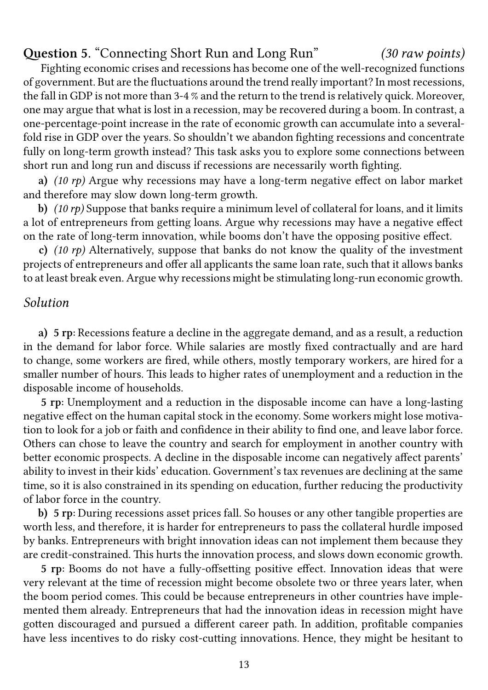## **Question 5.** "Connecting Short Run and Long Run" *(30 raw points)*

Fighting economic crises and recessions has become one of the well-recognized functions of government. But are the fluctuations around the trend really important? In most recessions, the fall in GDP is not more than 3-4 % and the return to the trend is relatively quick. Moreover, one may argue that what is lost in a recession, may be recovered during a boom. In contrast, a one-percentage-point increase in the rate of economic growth can accumulate into a severalfold rise in GDP over the years. So shouldn't we abandon fighting recessions and concentrate fully on long-term growth instead? This task asks you to explore some connections between short run and long run and discuss if recessions are necessarily worth fighting.

**a)** *(10 rp)* Argue why recessions may have a long-term negative effect on labor market and therefore may slow down long-term growth.

**b)** *(10 rp)* Suppose that banks require a minimum level of collateral for loans, and it limits a lot of entrepreneurs from getting loans. Argue why recessions may have a negative effect on the rate of long-term innovation, while booms don't have the opposing positive effect.

**c)** *(10 rp)* Alternatively, suppose that banks do not know the quality of the investment projects of entrepreneurs and offer all applicants the same loan rate, such that it allows banks to at least break even. Argue why recessions might be stimulating long-run economic growth.

## *Solution*

**a) 5 rp:** Recessions feature a decline in the aggregate demand, and as a result, a reduction in the demand for labor force. While salaries are mostly fixed contractually and are hard to change, some workers are fired, while others, mostly temporary workers, are hired for a smaller number of hours. This leads to higher rates of unemployment and a reduction in the disposable income of households.

**5 rp:** Unemployment and a reduction in the disposable income can have a long-lasting negative effect on the human capital stock in the economy. Some workers might lose motivation to look for a job or faith and confidence in their ability to find one, and leave labor force. Others can chose to leave the country and search for employment in another country with better economic prospects. A decline in the disposable income can negatively affect parents' ability to invest in their kids' education. Government's tax revenues are declining at the same time, so it is also constrained in its spending on education, further reducing the productivity of labor force in the country.

**b) 5 rp:** During recessions asset prices fall. So houses or any other tangible properties are worth less, and therefore, it is harder for entrepreneurs to pass the collateral hurdle imposed by banks. Entrepreneurs with bright innovation ideas can not implement them because they are credit-constrained. This hurts the innovation process, and slows down economic growth.

**5 rp:** Booms do not have a fully-offsetting positive effect. Innovation ideas that were very relevant at the time of recession might become obsolete two or three years later, when the boom period comes. This could be because entrepreneurs in other countries have implemented them already. Entrepreneurs that had the innovation ideas in recession might have gotten discouraged and pursued a different career path. In addition, profitable companies have less incentives to do risky cost-cutting innovations. Hence, they might be hesitant to